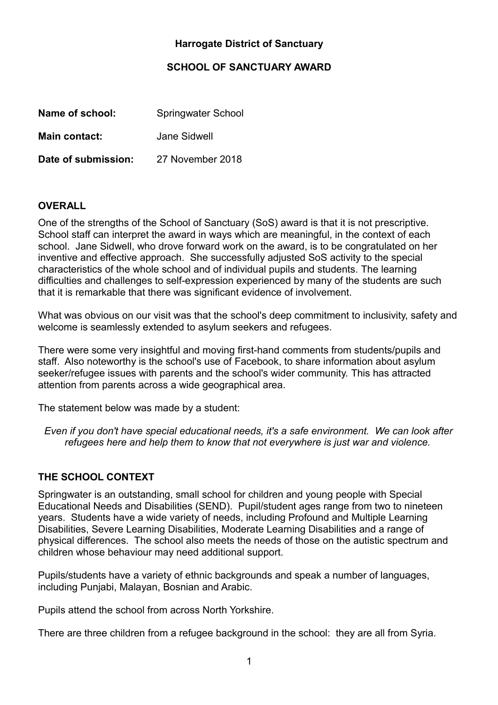## **Harrogate District of Sanctuary**

### **SCHOOL OF SANCTUARY AWARD**

| Name of school:      | <b>Springwater School</b> |
|----------------------|---------------------------|
| <b>Main contact:</b> | Jane Sidwell              |
| Date of submission:  | 27 November 2018          |

### **OVERALL**

One of the strengths of the School of Sanctuary (SoS) award is that it is not prescriptive. School staff can interpret the award in ways which are meaningful, in the context of each school. Jane Sidwell, who drove forward work on the award, is to be congratulated on her inventive and effective approach. She successfully adjusted SoS activity to the special characteristics of the whole school and of individual pupils and students. The learning difficulties and challenges to self-expression experienced by many of the students are such that it is remarkable that there was significant evidence of involvement.

What was obvious on our visit was that the school's deep commitment to inclusivity, safety and welcome is seamlessly extended to asylum seekers and refugees.

There were some very insightful and moving first-hand comments from students/pupils and staff. Also noteworthy is the school's use of Facebook, to share information about asylum seeker/refugee issues with parents and the school's wider community. This has attracted attention from parents across a wide geographical area.

The statement below was made by a student:

*Even if you don't have special educational needs, it's a safe environment. We can look after refugees here and help them to know that not everywhere is just war and violence.*

#### **THE SCHOOL CONTEXT**

Springwater is an outstanding, small school for children and young people with Special Educational Needs and Disabilities (SEND). Pupil/student ages range from two to nineteen years. Students have a wide variety of needs, including Profound and Multiple Learning Disabilities, Severe Learning Disabilities, Moderate Learning Disabilities and a range of physical differences. The school also meets the needs of those on the autistic spectrum and children whose behaviour may need additional support.

Pupils/students have a variety of ethnic backgrounds and speak a number of languages, including Punjabi, Malayan, Bosnian and Arabic.

Pupils attend the school from across North Yorkshire.

There are three children from a refugee background in the school: they are all from Syria.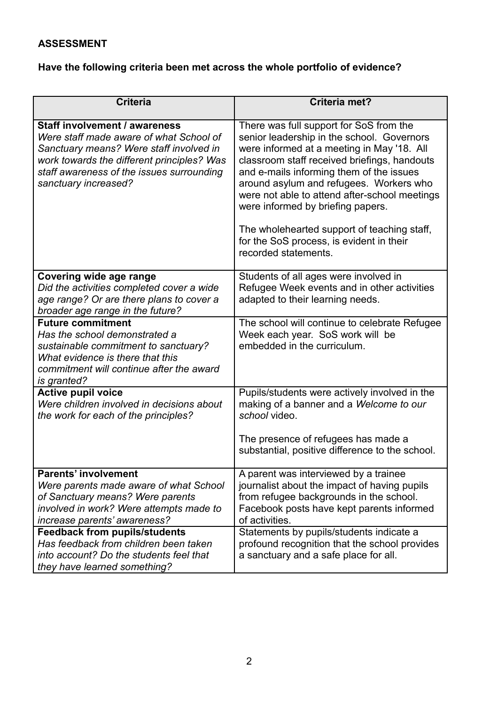## **ASSESSMENT**

# **Have the following criteria been met across the whole portfolio of evidence?**

| <b>Criteria</b>                                                                                                                                                                                                                        | Criteria met?                                                                                                                                                                                                                                                                                                                                                                                                                                                                       |
|----------------------------------------------------------------------------------------------------------------------------------------------------------------------------------------------------------------------------------------|-------------------------------------------------------------------------------------------------------------------------------------------------------------------------------------------------------------------------------------------------------------------------------------------------------------------------------------------------------------------------------------------------------------------------------------------------------------------------------------|
| Staff involvement / awareness<br>Were staff made aware of what School of<br>Sanctuary means? Were staff involved in<br>work towards the different principles? Was<br>staff awareness of the issues surrounding<br>sanctuary increased? | There was full support for SoS from the<br>senior leadership in the school. Governors<br>were informed at a meeting in May '18. All<br>classroom staff received briefings, handouts<br>and e-mails informing them of the issues<br>around asylum and refugees. Workers who<br>were not able to attend after-school meetings<br>were informed by briefing papers.<br>The wholehearted support of teaching staff,<br>for the SoS process, is evident in their<br>recorded statements. |
| Covering wide age range<br>Did the activities completed cover a wide<br>age range? Or are there plans to cover a<br>broader age range in the future?                                                                                   | Students of all ages were involved in<br>Refugee Week events and in other activities<br>adapted to their learning needs.                                                                                                                                                                                                                                                                                                                                                            |
| <b>Future commitment</b><br>Has the school demonstrated a<br>sustainable commitment to sanctuary?<br>What evidence is there that this<br>commitment will continue after the award<br>is granted?                                       | The school will continue to celebrate Refugee<br>Week each year. SoS work will be<br>embedded in the curriculum.                                                                                                                                                                                                                                                                                                                                                                    |
| <b>Active pupil voice</b><br>Were children involved in decisions about<br>the work for each of the principles?                                                                                                                         | Pupils/students were actively involved in the<br>making of a banner and a Welcome to our<br>school video.                                                                                                                                                                                                                                                                                                                                                                           |
|                                                                                                                                                                                                                                        | The presence of refugees has made a<br>substantial, positive difference to the school.                                                                                                                                                                                                                                                                                                                                                                                              |
| <b>Parents' involvement</b><br>Were parents made aware of what School<br>of Sanctuary means? Were parents<br>involved in work? Were attempts made to<br>increase parents' awareness?                                                   | A parent was interviewed by a trainee<br>journalist about the impact of having pupils<br>from refugee backgrounds in the school.<br>Facebook posts have kept parents informed<br>of activities.                                                                                                                                                                                                                                                                                     |
| <b>Feedback from pupils/students</b><br>Has feedback from children been taken<br>into account? Do the students feel that<br>they have learned something?                                                                               | Statements by pupils/students indicate a<br>profound recognition that the school provides<br>a sanctuary and a safe place for all.                                                                                                                                                                                                                                                                                                                                                  |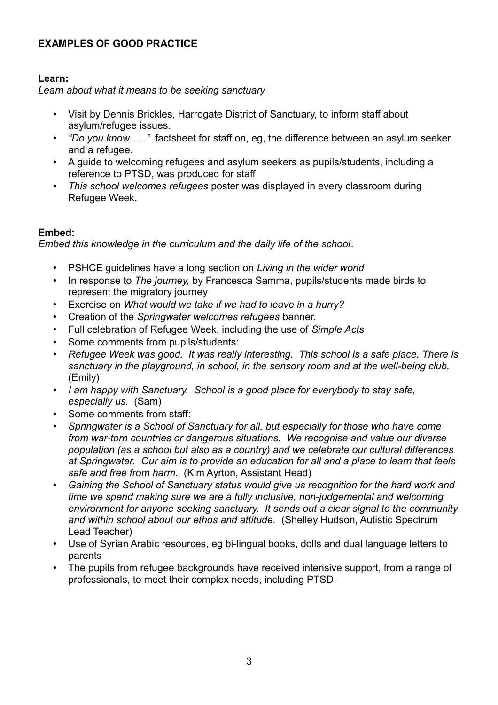## **EXAMPLES OF GOOD PRACTICE**

#### **Learn:**

*Learn about what it means to be seeking sanctuary*

- Visit by Dennis Brickles, Harrogate District of Sanctuary, to inform staff about asylum/refugee issues.
- *"Do you know . . ."* factsheet for staff on, eg, the difference between an asylum seeker and a refugee.
- A guide to welcoming refugees and asylum seekers as pupils/students, including a reference to PTSD, was produced for staff
- *This school welcomes refugees* poster was displayed in every classroom during Refugee Week.

### **Embed:**

*Embed this knowledge in the curriculum and the daily life of the school*.

- PSHCE guidelines have a long section on *Living in the wider world*
- In response to *The journey,* by Francesca Samma, pupils/students made birds to represent the migratory journey
- Exercise on *What would we take if we had to leave in a hurry?*
- Creation of the *Springwater welcomes refugees* banner.
- Full celebration of Refugee Week, including the use of *Simple Acts*
- Some comments from pupils/students:
- *Refugee Week was good. It was really interesting. This school is a safe place. There is sanctuary in the playground, in school, in the sensory room and at the well-being club.*  (Emily)
- *I am happy with Sanctuary. School is a good place for everybody to stay safe, especially us.* (Sam)
- Some comments from staff:
- *Springwater is a School of Sanctuary for all, but especially for those who have come from war-torn countries or dangerous situations. We recognise and value our diverse population (as a school but also as a country) and we celebrate our cultural differences at Springwater. Our aim is to provide an education for all and a place to learn that feels safe and free from harm.* (Kim Ayrton, Assistant Head)
- *Gaining the School of Sanctuary status would give us recognition for the hard work and time we spend making sure we are a fully inclusive, non-judgemental and welcoming environment for anyone seeking sanctuary. It sends out a clear signal to the community and within school about our ethos and attitude.* (Shelley Hudson, Autistic Spectrum Lead Teacher)
- Use of Syrian Arabic resources, eg bi-lingual books, dolls and dual language letters to parents
- The pupils from refugee backgrounds have received intensive support, from a range of professionals, to meet their complex needs, including PTSD.